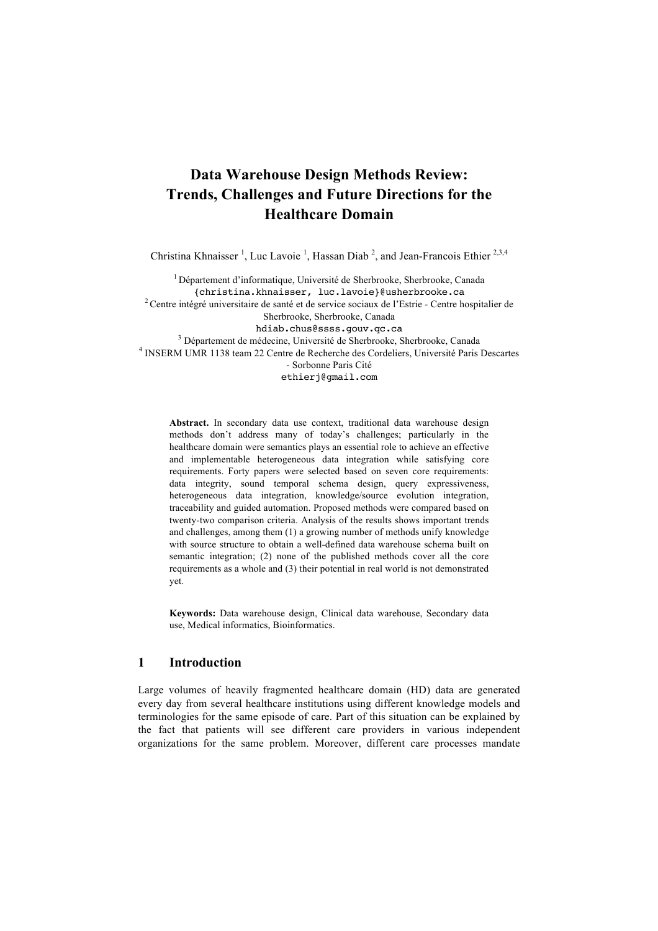# **Data Warehouse Design Methods Review: Trends, Challenges and Future Directions for the Healthcare Domain**

Christina Khnaisser<sup>1</sup>, Luc Lavoie<sup>1</sup>, Hassan Diab<sup>2</sup>, and Jean-Francois Ethier<sup>2,3,4</sup>

1 Département d'informatique, Université de Sherbrooke, Sherbrooke, Canada {christina.khnaisser, luc.lavoie}@usherbrooke.ca 2 Centre intégré universitaire de santé et de service sociaux de l'Estrie - Centre hospitalier de Sherbrooke, Sherbrooke, Canada hdiab.chus@ssss.gouv.qc.ca <sup>3</sup> Département de médecine, Université de Sherbrooke, Sherbrooke, Canada <sup>4</sup> INSERM UMR 1138 team 22 Centre de Recherche des Cordeliers, Université Paris Descartes - Sorbonne Paris Cité ethierj@gmail.com

**Abstract.** In secondary data use context, traditional data warehouse design methods don't address many of today's challenges; particularly in the healthcare domain were semantics plays an essential role to achieve an effective and implementable heterogeneous data integration while satisfying core requirements. Forty papers were selected based on seven core requirements: data integrity, sound temporal schema design, query expressiveness, heterogeneous data integration, knowledge/source evolution integration, traceability and guided automation. Proposed methods were compared based on twenty-two comparison criteria. Analysis of the results shows important trends and challenges, among them (1) a growing number of methods unify knowledge with source structure to obtain a well-defined data warehouse schema built on semantic integration; (2) none of the published methods cover all the core requirements as a whole and (3) their potential in real world is not demonstrated yet.

**Keywords:** Data warehouse design, Clinical data warehouse, Secondary data use, Medical informatics, Bioinformatics.

# **1 Introduction**

Large volumes of heavily fragmented healthcare domain (HD) data are generated every day from several healthcare institutions using different knowledge models and terminologies for the same episode of care. Part of this situation can be explained by the fact that patients will see different care providers in various independent organizations for the same problem. Moreover, different care processes mandate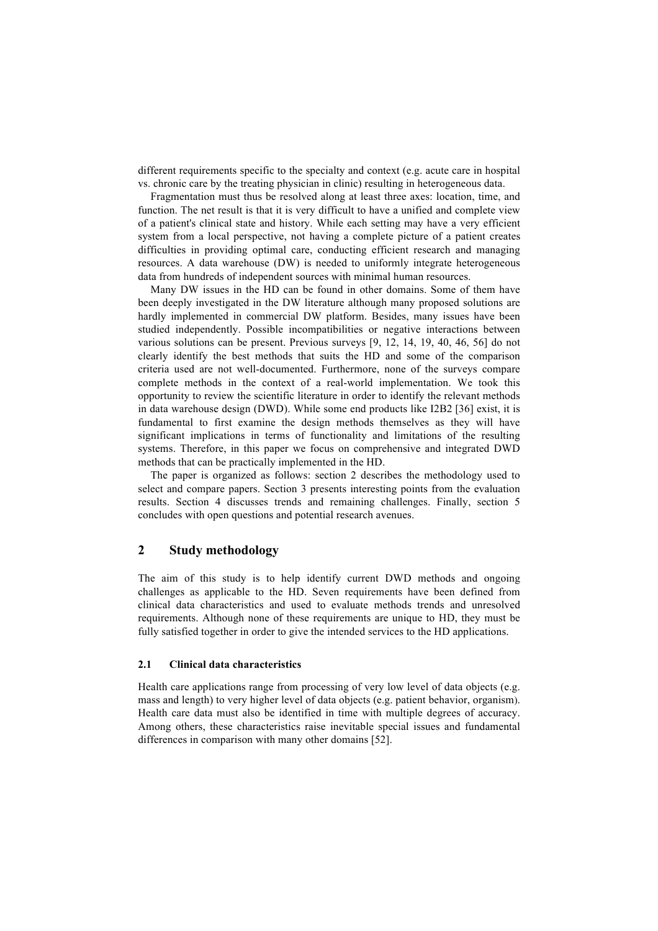different requirements specific to the specialty and context (e.g. acute care in hospital vs. chronic care by the treating physician in clinic) resulting in heterogeneous data.

Fragmentation must thus be resolved along at least three axes: location, time, and function. The net result is that it is very difficult to have a unified and complete view of a patient's clinical state and history. While each setting may have a very efficient system from a local perspective, not having a complete picture of a patient creates difficulties in providing optimal care, conducting efficient research and managing resources. A data warehouse (DW) is needed to uniformly integrate heterogeneous data from hundreds of independent sources with minimal human resources.

Many DW issues in the HD can be found in other domains. Some of them have been deeply investigated in the DW literature although many proposed solutions are hardly implemented in commercial DW platform. Besides, many issues have been studied independently. Possible incompatibilities or negative interactions between various solutions can be present. Previous surveys [9, 12, 14, 19, 40, 46, 56] do not clearly identify the best methods that suits the HD and some of the comparison criteria used are not well-documented. Furthermore, none of the surveys compare complete methods in the context of a real-world implementation. We took this opportunity to review the scientific literature in order to identify the relevant methods in data warehouse design (DWD). While some end products like I2B2 [36] exist, it is fundamental to first examine the design methods themselves as they will have significant implications in terms of functionality and limitations of the resulting systems. Therefore, in this paper we focus on comprehensive and integrated DWD methods that can be practically implemented in the HD.

The paper is organized as follows: section 2 describes the methodology used to select and compare papers. Section 3 presents interesting points from the evaluation results. Section 4 discusses trends and remaining challenges. Finally, section 5 concludes with open questions and potential research avenues.

# **2 Study methodology**

The aim of this study is to help identify current DWD methods and ongoing challenges as applicable to the HD. Seven requirements have been defined from clinical data characteristics and used to evaluate methods trends and unresolved requirements. Although none of these requirements are unique to HD, they must be fully satisfied together in order to give the intended services to the HD applications.

#### **2.1 Clinical data characteristics**

Health care applications range from processing of very low level of data objects (e.g. mass and length) to very higher level of data objects (e.g. patient behavior, organism). Health care data must also be identified in time with multiple degrees of accuracy. Among others, these characteristics raise inevitable special issues and fundamental differences in comparison with many other domains [52].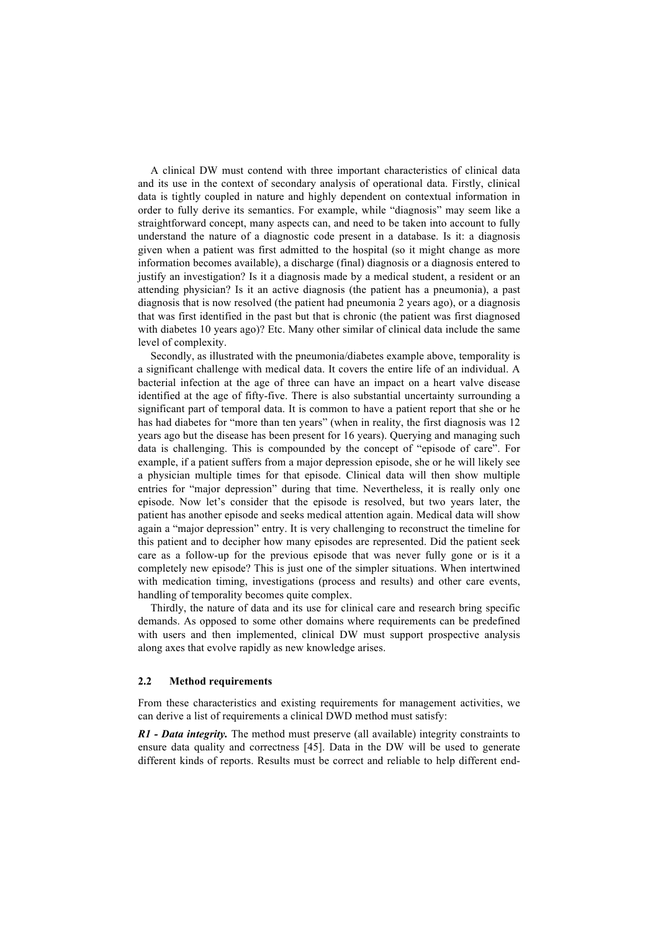A clinical DW must contend with three important characteristics of clinical data and its use in the context of secondary analysis of operational data. Firstly, clinical data is tightly coupled in nature and highly dependent on contextual information in order to fully derive its semantics. For example, while "diagnosis" may seem like a straightforward concept, many aspects can, and need to be taken into account to fully understand the nature of a diagnostic code present in a database. Is it: a diagnosis given when a patient was first admitted to the hospital (so it might change as more information becomes available), a discharge (final) diagnosis or a diagnosis entered to justify an investigation? Is it a diagnosis made by a medical student, a resident or an attending physician? Is it an active diagnosis (the patient has a pneumonia), a past diagnosis that is now resolved (the patient had pneumonia 2 years ago), or a diagnosis that was first identified in the past but that is chronic (the patient was first diagnosed with diabetes 10 years ago)? Etc. Many other similar of clinical data include the same level of complexity.

Secondly, as illustrated with the pneumonia/diabetes example above, temporality is a significant challenge with medical data. It covers the entire life of an individual. A bacterial infection at the age of three can have an impact on a heart valve disease identified at the age of fifty-five. There is also substantial uncertainty surrounding a significant part of temporal data. It is common to have a patient report that she or he has had diabetes for "more than ten years" (when in reality, the first diagnosis was 12 years ago but the disease has been present for 16 years). Querying and managing such data is challenging. This is compounded by the concept of "episode of care". For example, if a patient suffers from a major depression episode, she or he will likely see a physician multiple times for that episode. Clinical data will then show multiple entries for "major depression" during that time. Nevertheless, it is really only one episode. Now let's consider that the episode is resolved, but two years later, the patient has another episode and seeks medical attention again. Medical data will show again a "major depression" entry. It is very challenging to reconstruct the timeline for this patient and to decipher how many episodes are represented. Did the patient seek care as a follow-up for the previous episode that was never fully gone or is it a completely new episode? This is just one of the simpler situations. When intertwined with medication timing, investigations (process and results) and other care events, handling of temporality becomes quite complex.

Thirdly, the nature of data and its use for clinical care and research bring specific demands. As opposed to some other domains where requirements can be predefined with users and then implemented, clinical DW must support prospective analysis along axes that evolve rapidly as new knowledge arises.

#### **2.2 Method requirements**

From these characteristics and existing requirements for management activities, we can derive a list of requirements a clinical DWD method must satisfy:

*R1 - Data integrity.* The method must preserve (all available) integrity constraints to ensure data quality and correctness [45]. Data in the DW will be used to generate different kinds of reports. Results must be correct and reliable to help different end-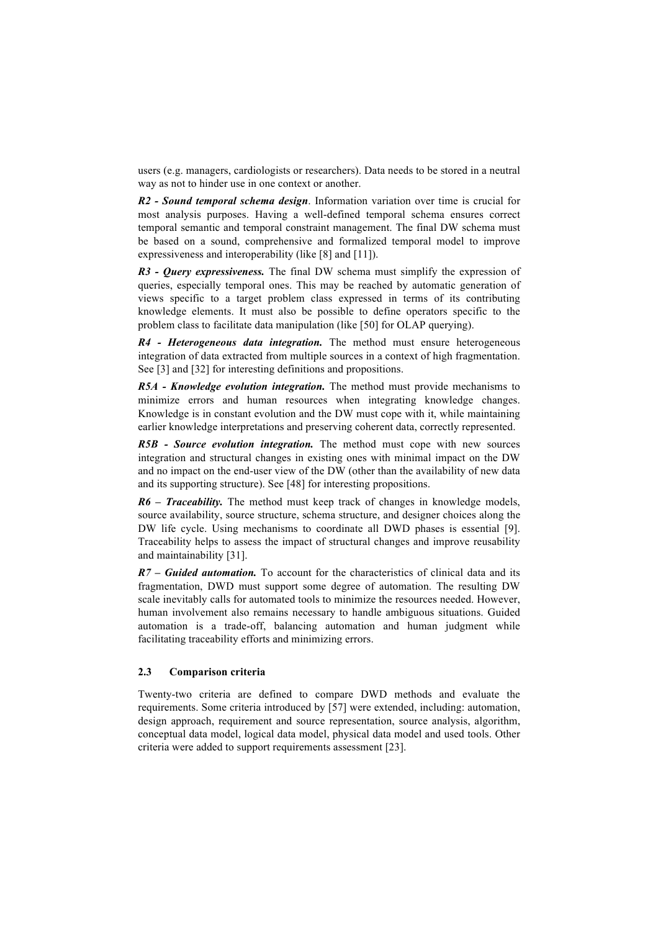users (e.g. managers, cardiologists or researchers). Data needs to be stored in a neutral way as not to hinder use in one context or another.

*R2 - Sound temporal schema design*. Information variation over time is crucial for most analysis purposes. Having a well-defined temporal schema ensures correct temporal semantic and temporal constraint management. The final DW schema must be based on a sound, comprehensive and formalized temporal model to improve expressiveness and interoperability (like [8] and [11]).

*R3 - Query expressiveness.* The final DW schema must simplify the expression of queries, especially temporal ones. This may be reached by automatic generation of views specific to a target problem class expressed in terms of its contributing knowledge elements. It must also be possible to define operators specific to the problem class to facilitate data manipulation (like [50] for OLAP querying).

*R4 - Heterogeneous data integration.* The method must ensure heterogeneous integration of data extracted from multiple sources in a context of high fragmentation. See [3] and [32] for interesting definitions and propositions.

*R5A - Knowledge evolution integration.* The method must provide mechanisms to minimize errors and human resources when integrating knowledge changes. Knowledge is in constant evolution and the DW must cope with it, while maintaining earlier knowledge interpretations and preserving coherent data, correctly represented.

*R5B - Source evolution integration.* The method must cope with new sources integration and structural changes in existing ones with minimal impact on the DW and no impact on the end-user view of the DW (other than the availability of new data and its supporting structure). See [48] for interesting propositions.

*R6 – Traceability.* The method must keep track of changes in knowledge models, source availability, source structure, schema structure, and designer choices along the DW life cycle. Using mechanisms to coordinate all DWD phases is essential [9]. Traceability helps to assess the impact of structural changes and improve reusability and maintainability [31].

*R7 – Guided automation.* To account for the characteristics of clinical data and its fragmentation, DWD must support some degree of automation. The resulting DW scale inevitably calls for automated tools to minimize the resources needed. However, human involvement also remains necessary to handle ambiguous situations. Guided automation is a trade-off, balancing automation and human judgment while facilitating traceability efforts and minimizing errors.

## **2.3 Comparison criteria**

Twenty-two criteria are defined to compare DWD methods and evaluate the requirements. Some criteria introduced by [57] were extended, including: automation, design approach, requirement and source representation, source analysis, algorithm, conceptual data model, logical data model, physical data model and used tools. Other criteria were added to support requirements assessment [23].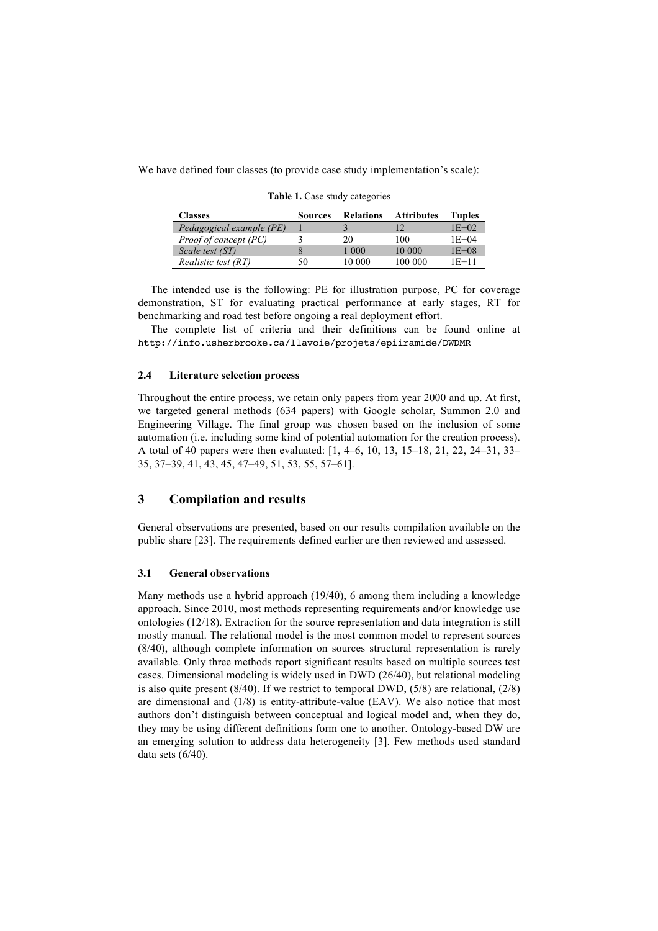We have defined four classes (to provide case study implementation's scale):

| <b>Table 1.</b> Case study categories |                                  |  |
|---------------------------------------|----------------------------------|--|
|                                       | <b>Sources Relations Attribu</b> |  |

| <b>Classes</b>           | <b>Sources</b> | <b>Relations</b> | <b>Attributes</b> | Tuples    |
|--------------------------|----------------|------------------|-------------------|-----------|
| Pedagogical example (PE) |                |                  | 12                | 1E+02     |
| Proof of concept (PC)    |                | 20               | 100               | $1E+04$   |
| Scale test (ST)          |                | $\pm 000$        | 10 000            | $1E + 08$ |
| Realistic test (RT)      | 50             | 10 000           | 100 000           | $1F + 11$ |

The intended use is the following: PE for illustration purpose, PC for coverage demonstration, ST for evaluating practical performance at early stages, RT for benchmarking and road test before ongoing a real deployment effort.

The complete list of criteria and their definitions can be found online at http://info.usherbrooke.ca/llavoie/projets/epiiramide/DWDMR

### **2.4 Literature selection process**

Throughout the entire process, we retain only papers from year 2000 and up. At first, we targeted general methods (634 papers) with Google scholar, Summon 2.0 and Engineering Village. The final group was chosen based on the inclusion of some automation (i.e. including some kind of potential automation for the creation process). A total of 40 papers were then evaluated: [1, 4–6, 10, 13, 15–18, 21, 22, 24–31, 33– 35, 37–39, 41, 43, 45, 47–49, 51, 53, 55, 57–61].

# **3 Compilation and results**

General observations are presented, based on our results compilation available on the public share [23]. The requirements defined earlier are then reviewed and assessed.

#### **3.1 General observations**

Many methods use a hybrid approach (19/40), 6 among them including a knowledge approach. Since 2010, most methods representing requirements and/or knowledge use ontologies (12/18). Extraction for the source representation and data integration is still mostly manual. The relational model is the most common model to represent sources (8/40), although complete information on sources structural representation is rarely available. Only three methods report significant results based on multiple sources test cases. Dimensional modeling is widely used in DWD (26/40), but relational modeling is also quite present  $(8/40)$ . If we restrict to temporal DWD,  $(5/8)$  are relational,  $(2/8)$ are dimensional and (1/8) is entity-attribute-value (EAV). We also notice that most authors don't distinguish between conceptual and logical model and, when they do, they may be using different definitions form one to another. Ontology-based DW are an emerging solution to address data heterogeneity [3]. Few methods used standard data sets  $(6/40)$ .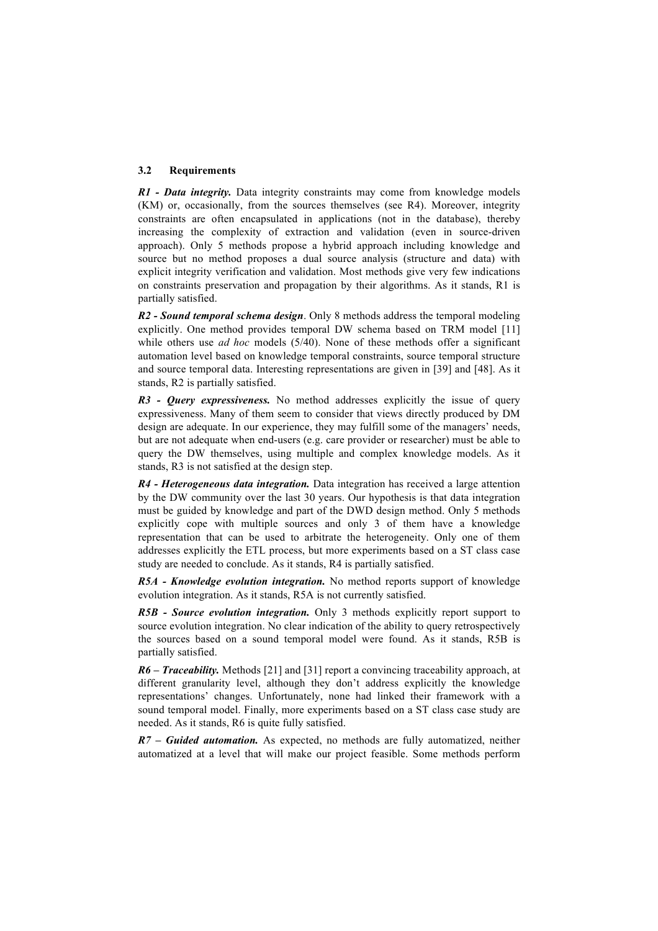### **3.2 Requirements**

*R1 - Data integrity.* Data integrity constraints may come from knowledge models (KM) or, occasionally, from the sources themselves (see R4). Moreover, integrity constraints are often encapsulated in applications (not in the database), thereby increasing the complexity of extraction and validation (even in source-driven approach). Only 5 methods propose a hybrid approach including knowledge and source but no method proposes a dual source analysis (structure and data) with explicit integrity verification and validation. Most methods give very few indications on constraints preservation and propagation by their algorithms. As it stands, R1 is partially satisfied.

*R2 - Sound temporal schema design*. Only 8 methods address the temporal modeling explicitly. One method provides temporal DW schema based on TRM model [11] while others use *ad hoc* models (5/40). None of these methods offer a significant automation level based on knowledge temporal constraints, source temporal structure and source temporal data. Interesting representations are given in [39] and [48]. As it stands, R2 is partially satisfied.

*R3 - Query expressiveness.* No method addresses explicitly the issue of query expressiveness. Many of them seem to consider that views directly produced by DM design are adequate. In our experience, they may fulfill some of the managers' needs, but are not adequate when end-users (e.g. care provider or researcher) must be able to query the DW themselves, using multiple and complex knowledge models. As it stands, R3 is not satisfied at the design step.

*R4 - Heterogeneous data integration.* Data integration has received a large attention by the DW community over the last 30 years. Our hypothesis is that data integration must be guided by knowledge and part of the DWD design method. Only 5 methods explicitly cope with multiple sources and only 3 of them have a knowledge representation that can be used to arbitrate the heterogeneity. Only one of them addresses explicitly the ETL process, but more experiments based on a ST class case study are needed to conclude. As it stands, R4 is partially satisfied.

*R5A - Knowledge evolution integration.* No method reports support of knowledge evolution integration. As it stands, R5A is not currently satisfied.

*R5B - Source evolution integration.* Only 3 methods explicitly report support to source evolution integration. No clear indication of the ability to query retrospectively the sources based on a sound temporal model were found. As it stands, R5B is partially satisfied.

*R6 – Traceability.* Methods [21] and [31] report a convincing traceability approach, at different granularity level, although they don't address explicitly the knowledge representations' changes. Unfortunately, none had linked their framework with a sound temporal model. Finally, more experiments based on a ST class case study are needed. As it stands, R6 is quite fully satisfied.

*R7 – Guided automation.* As expected, no methods are fully automatized, neither automatized at a level that will make our project feasible. Some methods perform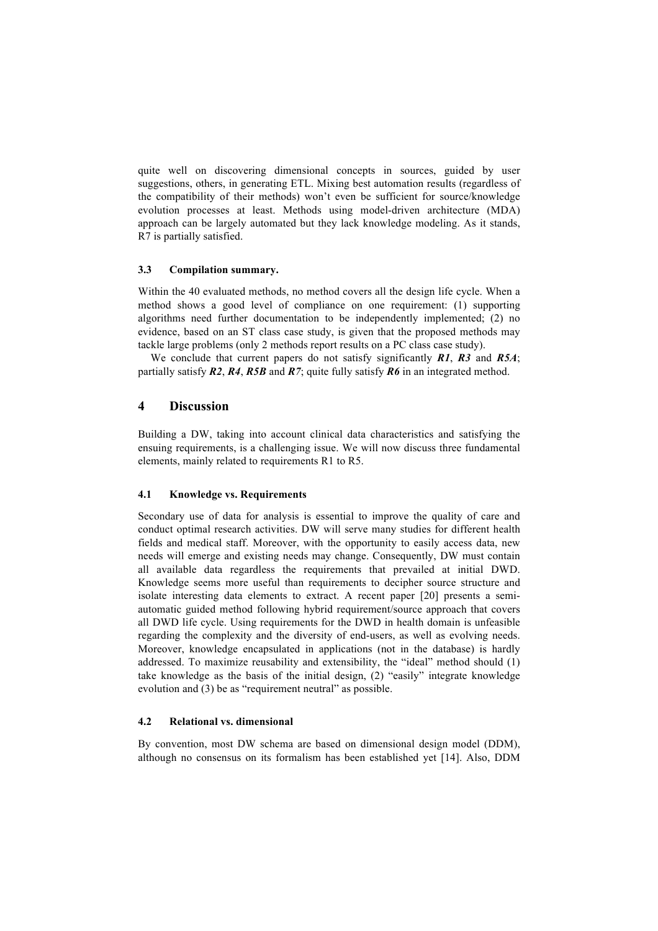quite well on discovering dimensional concepts in sources, guided by user suggestions, others, in generating ETL. Mixing best automation results (regardless of the compatibility of their methods) won't even be sufficient for source/knowledge evolution processes at least. Methods using model-driven architecture (MDA) approach can be largely automated but they lack knowledge modeling. As it stands, R7 is partially satisfied.

#### **3.3 Compilation summary.**

Within the 40 evaluated methods, no method covers all the design life cycle. When a method shows a good level of compliance on one requirement: (1) supporting algorithms need further documentation to be independently implemented; (2) no evidence, based on an ST class case study, is given that the proposed methods may tackle large problems (only 2 methods report results on a PC class case study).

We conclude that current papers do not satisfy significantly *R1*, *R3* and *R5A*; partially satisfy *R2*, *R4*, *R5B* and *R7*; quite fully satisfy *R6* in an integrated method.

## **4 Discussion**

Building a DW, taking into account clinical data characteristics and satisfying the ensuing requirements, is a challenging issue. We will now discuss three fundamental elements, mainly related to requirements R1 to R5.

#### **4.1 Knowledge vs. Requirements**

Secondary use of data for analysis is essential to improve the quality of care and conduct optimal research activities. DW will serve many studies for different health fields and medical staff. Moreover, with the opportunity to easily access data, new needs will emerge and existing needs may change. Consequently, DW must contain all available data regardless the requirements that prevailed at initial DWD. Knowledge seems more useful than requirements to decipher source structure and isolate interesting data elements to extract. A recent paper [20] presents a semiautomatic guided method following hybrid requirement/source approach that covers all DWD life cycle. Using requirements for the DWD in health domain is unfeasible regarding the complexity and the diversity of end-users, as well as evolving needs. Moreover, knowledge encapsulated in applications (not in the database) is hardly addressed. To maximize reusability and extensibility, the "ideal" method should (1) take knowledge as the basis of the initial design, (2) "easily" integrate knowledge evolution and (3) be as "requirement neutral" as possible.

## **4.2 Relational vs. dimensional**

By convention, most DW schema are based on dimensional design model (DDM), although no consensus on its formalism has been established yet [14]. Also, DDM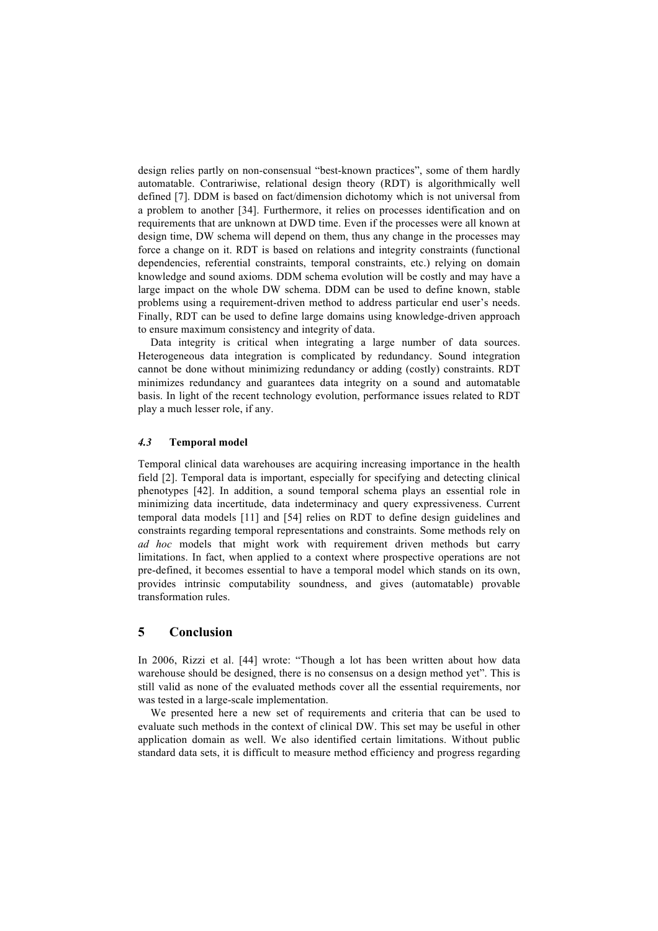design relies partly on non-consensual "best-known practices", some of them hardly automatable. Contrariwise, relational design theory (RDT) is algorithmically well defined [7]. DDM is based on fact/dimension dichotomy which is not universal from a problem to another [34]. Furthermore, it relies on processes identification and on requirements that are unknown at DWD time. Even if the processes were all known at design time, DW schema will depend on them, thus any change in the processes may force a change on it. RDT is based on relations and integrity constraints (functional dependencies, referential constraints, temporal constraints, etc.) relying on domain knowledge and sound axioms. DDM schema evolution will be costly and may have a large impact on the whole DW schema. DDM can be used to define known, stable problems using a requirement-driven method to address particular end user's needs. Finally, RDT can be used to define large domains using knowledge-driven approach to ensure maximum consistency and integrity of data.

Data integrity is critical when integrating a large number of data sources. Heterogeneous data integration is complicated by redundancy. Sound integration cannot be done without minimizing redundancy or adding (costly) constraints. RDT minimizes redundancy and guarantees data integrity on a sound and automatable basis. In light of the recent technology evolution, performance issues related to RDT play a much lesser role, if any.

## *4.3* **Temporal model**

Temporal clinical data warehouses are acquiring increasing importance in the health field [2]. Temporal data is important, especially for specifying and detecting clinical phenotypes [42]. In addition, a sound temporal schema plays an essential role in minimizing data incertitude, data indeterminacy and query expressiveness. Current temporal data models [11] and [54] relies on RDT to define design guidelines and constraints regarding temporal representations and constraints. Some methods rely on *ad hoc* models that might work with requirement driven methods but carry limitations. In fact, when applied to a context where prospective operations are not pre-defined, it becomes essential to have a temporal model which stands on its own, provides intrinsic computability soundness, and gives (automatable) provable transformation rules.

# **5 Conclusion**

In 2006, Rizzi et al. [44] wrote: "Though a lot has been written about how data warehouse should be designed, there is no consensus on a design method yet". This is still valid as none of the evaluated methods cover all the essential requirements, nor was tested in a large-scale implementation.

We presented here a new set of requirements and criteria that can be used to evaluate such methods in the context of clinical DW. This set may be useful in other application domain as well. We also identified certain limitations. Without public standard data sets, it is difficult to measure method efficiency and progress regarding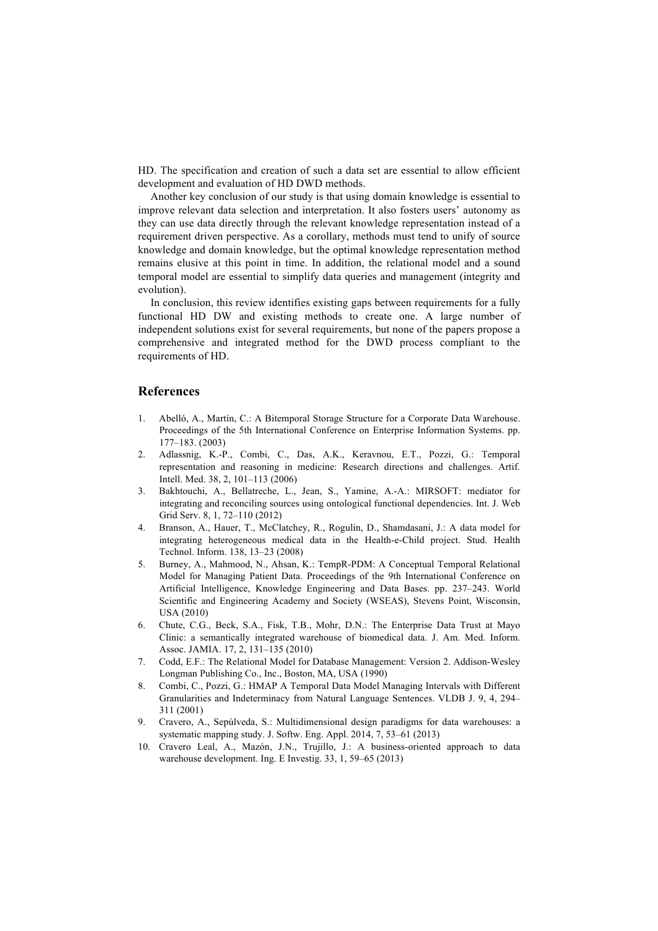HD. The specification and creation of such a data set are essential to allow efficient development and evaluation of HD DWD methods.

Another key conclusion of our study is that using domain knowledge is essential to improve relevant data selection and interpretation. It also fosters users' autonomy as they can use data directly through the relevant knowledge representation instead of a requirement driven perspective. As a corollary, methods must tend to unify of source knowledge and domain knowledge, but the optimal knowledge representation method remains elusive at this point in time. In addition, the relational model and a sound temporal model are essential to simplify data queries and management (integrity and evolution).

In conclusion, this review identifies existing gaps between requirements for a fully functional HD DW and existing methods to create one. A large number of independent solutions exist for several requirements, but none of the papers propose a comprehensive and integrated method for the DWD process compliant to the requirements of HD.

## **References**

- 1. Abelló, A., Martín, C.: A Bitemporal Storage Structure for a Corporate Data Warehouse. Proceedings of the 5th International Conference on Enterprise Information Systems. pp. 177–183. (2003)
- 2. Adlassnig, K.-P., Combi, C., Das, A.K., Keravnou, E.T., Pozzi, G.: Temporal representation and reasoning in medicine: Research directions and challenges. Artif. Intell. Med. 38, 2, 101–113 (2006)
- 3. Bakhtouchi, A., Bellatreche, L., Jean, S., Yamine, A.-A.: MIRSOFT: mediator for integrating and reconciling sources using ontological functional dependencies. Int. J. Web Grid Serv. 8, 1, 72–110 (2012)
- 4. Branson, A., Hauer, T., McClatchey, R., Rogulin, D., Shamdasani, J.: A data model for integrating heterogeneous medical data in the Health-e-Child project. Stud. Health Technol. Inform. 138, 13–23 (2008)
- 5. Burney, A., Mahmood, N., Ahsan, K.: TempR-PDM: A Conceptual Temporal Relational Model for Managing Patient Data. Proceedings of the 9th International Conference on Artificial Intelligence, Knowledge Engineering and Data Bases. pp. 237–243. World Scientific and Engineering Academy and Society (WSEAS), Stevens Point, Wisconsin, USA (2010)
- 6. Chute, C.G., Beck, S.A., Fisk, T.B., Mohr, D.N.: The Enterprise Data Trust at Mayo Clinic: a semantically integrated warehouse of biomedical data. J. Am. Med. Inform. Assoc. JAMIA. 17, 2, 131–135 (2010)
- 7. Codd, E.F.: The Relational Model for Database Management: Version 2. Addison-Wesley Longman Publishing Co., Inc., Boston, MA, USA (1990)
- 8. Combi, C., Pozzi, G.: HMAP A Temporal Data Model Managing Intervals with Different Granularities and Indeterminacy from Natural Language Sentences. VLDB J. 9, 4, 294– 311 (2001)
- 9. Cravero, A., Sepúlveda, S.: Multidimensional design paradigms for data warehouses: a systematic mapping study. J. Softw. Eng. Appl. 2014, 7, 53–61 (2013)
- 10. Cravero Leal, A., Mazón, J.N., Trujillo, J.: A business-oriented approach to data warehouse development. Ing. E Investig. 33, 1, 59–65 (2013)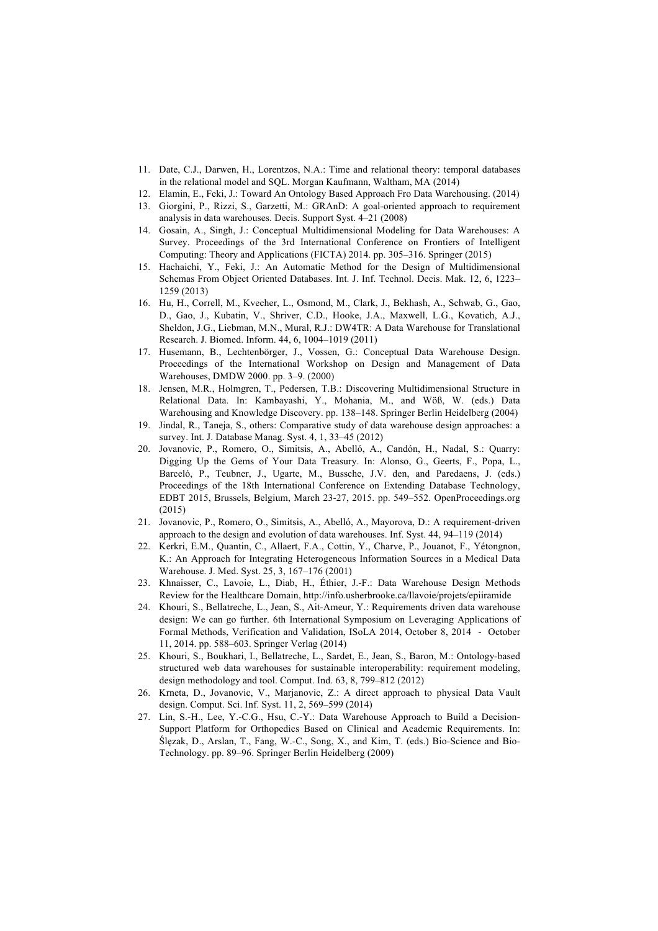- 11. Date, C.J., Darwen, H., Lorentzos, N.A.: Time and relational theory: temporal databases in the relational model and SQL. Morgan Kaufmann, Waltham, MA (2014)
- 12. Elamin, E., Feki, J.: Toward An Ontology Based Approach Fro Data Warehousing. (2014)
- 13. Giorgini, P., Rizzi, S., Garzetti, M.: GRAnD: A goal-oriented approach to requirement analysis in data warehouses. Decis. Support Syst. 4–21 (2008)
- 14. Gosain, A., Singh, J.: Conceptual Multidimensional Modeling for Data Warehouses: A Survey. Proceedings of the 3rd International Conference on Frontiers of Intelligent Computing: Theory and Applications (FICTA) 2014. pp. 305–316. Springer (2015)
- 15. Hachaichi, Y., Feki, J.: An Automatic Method for the Design of Multidimensional Schemas From Object Oriented Databases. Int. J. Inf. Technol. Decis. Mak. 12, 6, 1223– 1259 (2013)
- 16. Hu, H., Correll, M., Kvecher, L., Osmond, M., Clark, J., Bekhash, A., Schwab, G., Gao, D., Gao, J., Kubatin, V., Shriver, C.D., Hooke, J.A., Maxwell, L.G., Kovatich, A.J., Sheldon, J.G., Liebman, M.N., Mural, R.J.: DW4TR: A Data Warehouse for Translational Research. J. Biomed. Inform. 44, 6, 1004–1019 (2011)
- 17. Husemann, B., Lechtenbörger, J., Vossen, G.: Conceptual Data Warehouse Design. Proceedings of the International Workshop on Design and Management of Data Warehouses, DMDW 2000. pp. 3–9. (2000)
- 18. Jensen, M.R., Holmgren, T., Pedersen, T.B.: Discovering Multidimensional Structure in Relational Data. In: Kambayashi, Y., Mohania, M., and Wöß, W. (eds.) Data Warehousing and Knowledge Discovery. pp. 138–148. Springer Berlin Heidelberg (2004)
- 19. Jindal, R., Taneja, S., others: Comparative study of data warehouse design approaches: a survey. Int. J. Database Manag. Syst. 4, 1, 33–45 (2012)
- 20. Jovanovic, P., Romero, O., Simitsis, A., Abelló, A., Candón, H., Nadal, S.: Quarry: Digging Up the Gems of Your Data Treasury. In: Alonso, G., Geerts, F., Popa, L., Barceló, P., Teubner, J., Ugarte, M., Bussche, J.V. den, and Paredaens, J. (eds.) Proceedings of the 18th International Conference on Extending Database Technology, EDBT 2015, Brussels, Belgium, March 23-27, 2015. pp. 549–552. OpenProceedings.org (2015)
- 21. Jovanovic, P., Romero, O., Simitsis, A., Abelló, A., Mayorova, D.: A requirement-driven approach to the design and evolution of data warehouses. Inf. Syst. 44, 94–119 (2014)
- 22. Kerkri, E.M., Quantin, C., Allaert, F.A., Cottin, Y., Charve, P., Jouanot, F., Yétongnon, K.: An Approach for Integrating Heterogeneous Information Sources in a Medical Data Warehouse. J. Med. Syst. 25, 3, 167–176 (2001)
- 23. Khnaisser, C., Lavoie, L., Diab, H., Éthier, J.-F.: Data Warehouse Design Methods Review for the Healthcare Domain, http://info.usherbrooke.ca/llavoie/projets/epiiramide
- 24. Khouri, S., Bellatreche, L., Jean, S., Ait-Ameur, Y.: Requirements driven data warehouse design: We can go further. 6th International Symposium on Leveraging Applications of Formal Methods, Verification and Validation, ISoLA 2014, October 8, 2014 - October 11, 2014. pp. 588–603. Springer Verlag (2014)
- 25. Khouri, S., Boukhari, I., Bellatreche, L., Sardet, E., Jean, S., Baron, M.: Ontology-based structured web data warehouses for sustainable interoperability: requirement modeling, design methodology and tool. Comput. Ind. 63, 8, 799–812 (2012)
- 26. Krneta, D., Jovanovic, V., Marjanovic, Z.: A direct approach to physical Data Vault design. Comput. Sci. Inf. Syst. 11, 2, 569–599 (2014)
- 27. Lin, S.-H., Lee, Y.-C.G., Hsu, C.-Y.: Data Warehouse Approach to Build a Decision-Support Platform for Orthopedics Based on Clinical and Academic Requirements. In: Ślęzak, D., Arslan, T., Fang, W.-C., Song, X., and Kim, T. (eds.) Bio-Science and Bio-Technology. pp. 89–96. Springer Berlin Heidelberg (2009)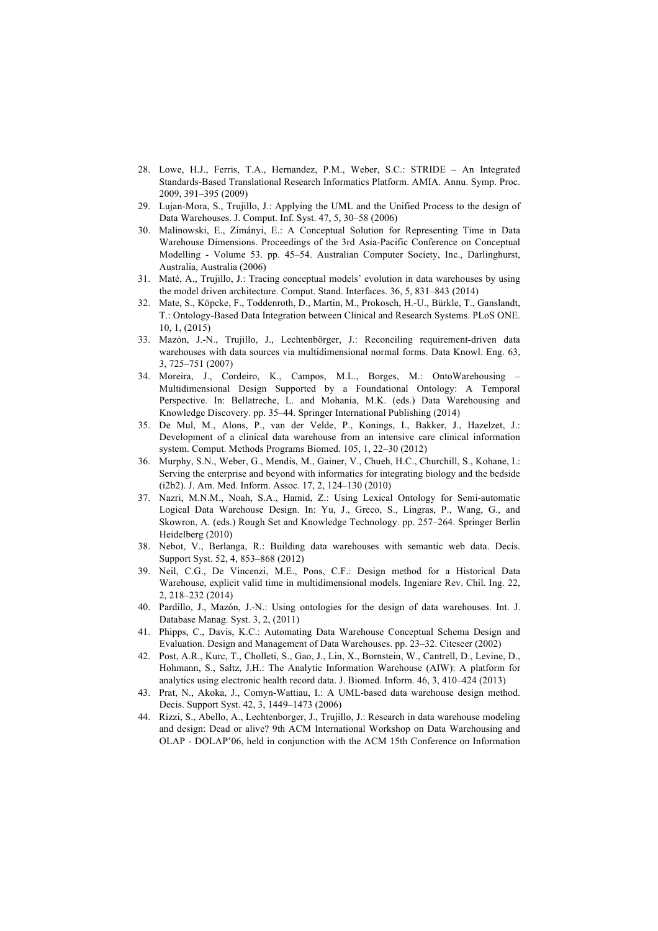- 28. Lowe, H.J., Ferris, T.A., Hernandez, P.M., Weber, S.C.: STRIDE An Integrated Standards-Based Translational Research Informatics Platform. AMIA. Annu. Symp. Proc. 2009, 391–395 (2009)
- 29. Lujan-Mora, S., Trujillo, J.: Applying the UML and the Unified Process to the design of Data Warehouses. J. Comput. Inf. Syst. 47, 5, 30–58 (2006)
- 30. Malinowski, E., Zimányi, E.: A Conceptual Solution for Representing Time in Data Warehouse Dimensions. Proceedings of the 3rd Asia-Pacific Conference on Conceptual Modelling - Volume 53. pp. 45–54. Australian Computer Society, Inc., Darlinghurst, Australia, Australia (2006)
- 31. Maté, A., Trujillo, J.: Tracing conceptual models' evolution in data warehouses by using the model driven architecture. Comput. Stand. Interfaces. 36, 5, 831–843 (2014)
- 32. Mate, S., Köpcke, F., Toddenroth, D., Martin, M., Prokosch, H.-U., Bürkle, T., Ganslandt, T.: Ontology-Based Data Integration between Clinical and Research Systems. PLoS ONE. 10, 1, (2015)
- 33. Mazón, J.-N., Trujillo, J., Lechtenbörger, J.: Reconciling requirement-driven data warehouses with data sources via multidimensional normal forms. Data Knowl. Eng. 63, 3, 725–751 (2007)
- 34. Moreira, J., Cordeiro, K., Campos, M.L., Borges, M.: OntoWarehousing Multidimensional Design Supported by a Foundational Ontology: A Temporal Perspective. In: Bellatreche, L. and Mohania, M.K. (eds.) Data Warehousing and Knowledge Discovery. pp. 35–44. Springer International Publishing (2014)
- 35. De Mul, M., Alons, P., van der Velde, P., Konings, I., Bakker, J., Hazelzet, J.: Development of a clinical data warehouse from an intensive care clinical information system. Comput. Methods Programs Biomed. 105, 1, 22–30 (2012)
- 36. Murphy, S.N., Weber, G., Mendis, M., Gainer, V., Chueh, H.C., Churchill, S., Kohane, I.: Serving the enterprise and beyond with informatics for integrating biology and the bedside (i2b2). J. Am. Med. Inform. Assoc. 17, 2, 124–130 (2010)
- 37. Nazri, M.N.M., Noah, S.A., Hamid, Z.: Using Lexical Ontology for Semi-automatic Logical Data Warehouse Design. In: Yu, J., Greco, S., Lingras, P., Wang, G., and Skowron, A. (eds.) Rough Set and Knowledge Technology. pp. 257–264. Springer Berlin Heidelberg (2010)
- 38. Nebot, V., Berlanga, R.: Building data warehouses with semantic web data. Decis. Support Syst. 52, 4, 853–868 (2012)
- 39. Neil, C.G., De Vincenzi, M.E., Pons, C.F.: Design method for a Historical Data Warehouse, explicit valid time in multidimensional models. Ingeniare Rev. Chil. Ing. 22, 2, 218–232 (2014)
- 40. Pardillo, J., Mazón, J.-N.: Using ontologies for the design of data warehouses. Int. J. Database Manag. Syst. 3, 2, (2011)
- 41. Phipps, C., Davis, K.C.: Automating Data Warehouse Conceptual Schema Design and Evaluation. Design and Management of Data Warehouses. pp. 23–32. Citeseer (2002)
- 42. Post, A.R., Kurc, T., Cholleti, S., Gao, J., Lin, X., Bornstein, W., Cantrell, D., Levine, D., Hohmann, S., Saltz, J.H.: The Analytic Information Warehouse (AIW): A platform for analytics using electronic health record data. J. Biomed. Inform. 46, 3, 410–424 (2013)
- 43. Prat, N., Akoka, J., Comyn-Wattiau, I.: A UML-based data warehouse design method. Decis. Support Syst. 42, 3, 1449–1473 (2006)
- 44. Rizzi, S., Abello, A., Lechtenborger, J., Trujillo, J.: Research in data warehouse modeling and design: Dead or alive? 9th ACM International Workshop on Data Warehousing and OLAP - DOLAP'06, held in conjunction with the ACM 15th Conference on Information